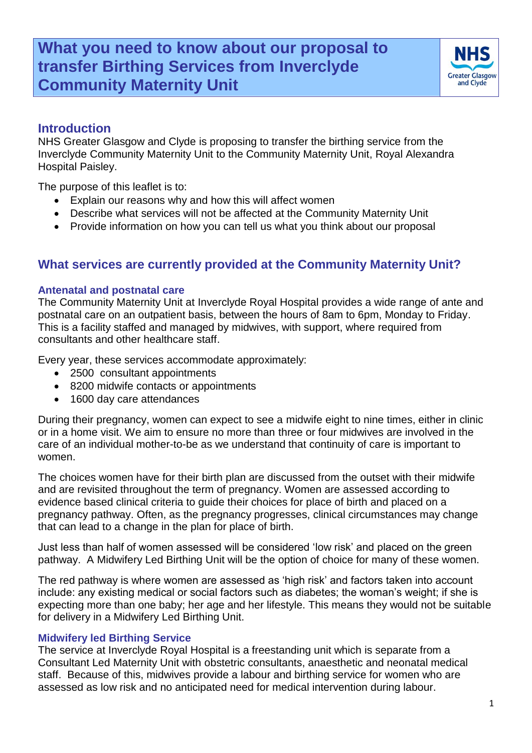# **What you need to know about our proposal to transfer Birthing Services from Inverclyde Community Maternity Unit**



### **Introduction**

NHS Greater Glasgow and Clyde is proposing to transfer the birthing service from the Inverclyde Community Maternity Unit to the Community Maternity Unit, Royal Alexandra Hospital Paisley.

The purpose of this leaflet is to:

- Explain our reasons why and how this will affect women
- Describe what services will not be affected at the Community Maternity Unit
- Provide information on how you can tell us what you think about our proposal

### **What services are currently provided at the Community Maternity Unit?**

#### **Antenatal and postnatal care**

The Community Maternity Unit at Inverclyde Royal Hospital provides a wide range of ante and postnatal care on an outpatient basis, between the hours of 8am to 6pm, Monday to Friday. This is a facility staffed and managed by midwives, with support, where required from consultants and other healthcare staff.

Every year, these services accommodate approximately:

- 2500 consultant appointments
- 8200 midwife contacts or appointments
- 1600 day care attendances

During their pregnancy, women can expect to see a midwife eight to nine times, either in clinic or in a home visit. We aim to ensure no more than three or four midwives are involved in the care of an individual mother-to-be as we understand that continuity of care is important to women.

The choices women have for their birth plan are discussed from the outset with their midwife and are revisited throughout the term of pregnancy. Women are assessed according to evidence based clinical criteria to guide their choices for place of birth and placed on a pregnancy pathway. Often, as the pregnancy progresses, clinical circumstances may change that can lead to a change in the plan for place of birth.

Just less than half of women assessed will be considered 'low risk' and placed on the green pathway. A Midwifery Led Birthing Unit will be the option of choice for many of these women.

The red pathway is where women are assessed as 'high risk' and factors taken into account include: any existing medical or social factors such as diabetes; the woman's weight; if she is expecting more than one baby; her age and her lifestyle. This means they would not be suitable for delivery in a Midwifery Led Birthing Unit.

#### **Midwifery led Birthing Service**

The service at Inverclyde Royal Hospital is a freestanding unit which is separate from a Consultant Led Maternity Unit with obstetric consultants, anaesthetic and neonatal medical staff. Because of this, midwives provide a labour and birthing service for women who are assessed as low risk and no anticipated need for medical intervention during labour.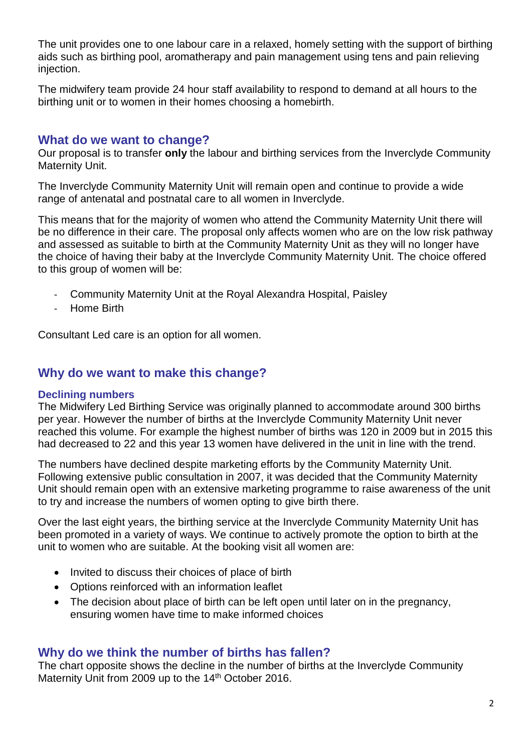The unit provides one to one labour care in a relaxed, homely setting with the support of birthing aids such as birthing pool, aromatherapy and pain management using tens and pain relieving injection.

The midwifery team provide 24 hour staff availability to respond to demand at all hours to the birthing unit or to women in their homes choosing a homebirth.

### **What do we want to change?**

Our proposal is to transfer **only** the labour and birthing services from the Inverclyde Community Maternity Unit.

The Inverclyde Community Maternity Unit will remain open and continue to provide a wide range of antenatal and postnatal care to all women in Inverclyde.

This means that for the majority of women who attend the Community Maternity Unit there will be no difference in their care. The proposal only affects women who are on the low risk pathway and assessed as suitable to birth at the Community Maternity Unit as they will no longer have the choice of having their baby at the Inverclyde Community Maternity Unit. The choice offered to this group of women will be:

- Community Maternity Unit at the Royal Alexandra Hospital, Paisley
- Home Birth

Consultant Led care is an option for all women.

### **Why do we want to make this change?**

#### **Declining numbers**

The Midwifery Led Birthing Service was originally planned to accommodate around 300 births per year. However the number of births at the Inverclyde Community Maternity Unit never reached this volume. For example the highest number of births was 120 in 2009 but in 2015 this had decreased to 22 and this year 13 women have delivered in the unit in line with the trend.

The numbers have declined despite marketing efforts by the Community Maternity Unit. Following extensive public consultation in 2007, it was decided that the Community Maternity Unit should remain open with an extensive marketing programme to raise awareness of the unit to try and increase the numbers of women opting to give birth there.

Over the last eight years, the birthing service at the Inverclyde Community Maternity Unit has been promoted in a variety of ways. We continue to actively promote the option to birth at the unit to women who are suitable. At the booking visit all women are:

- Invited to discuss their choices of place of birth
- Options reinforced with an information leaflet
- The decision about place of birth can be left open until later on in the pregnancy, ensuring women have time to make informed choices

### **Why do we think the number of births has fallen?**

The chart opposite shows the decline in the number of births at the Inverclyde Community Maternity Unit from 2009 up to the 14<sup>th</sup> October 2016.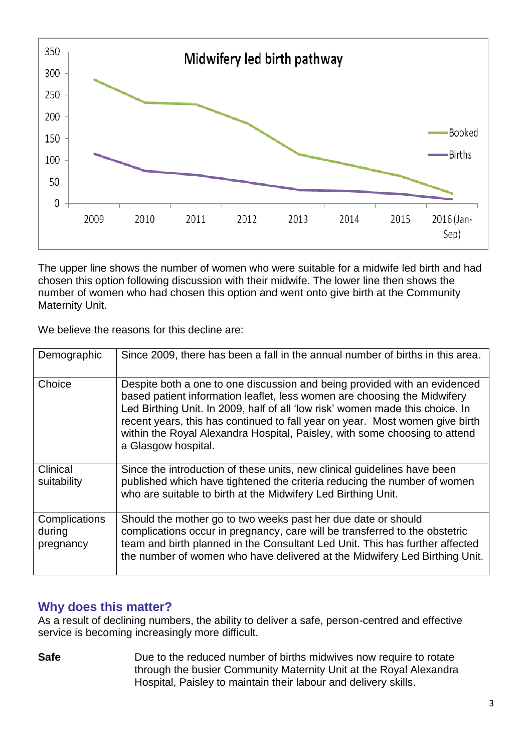

The upper line shows the number of women who were suitable for a midwife led birth and had chosen this option following discussion with their midwife. The lower line then shows the number of women who had chosen this option and went onto give birth at the Community Maternity Unit.

We believe the reasons for this decline are:

| Demographic                          | Since 2009, there has been a fall in the annual number of births in this area.                                                                                                                                                                                                                                                                                                                                              |
|--------------------------------------|-----------------------------------------------------------------------------------------------------------------------------------------------------------------------------------------------------------------------------------------------------------------------------------------------------------------------------------------------------------------------------------------------------------------------------|
| Choice                               | Despite both a one to one discussion and being provided with an evidenced<br>based patient information leaflet, less women are choosing the Midwifery<br>Led Birthing Unit. In 2009, half of all 'low risk' women made this choice. In<br>recent years, this has continued to fall year on year. Most women give birth<br>within the Royal Alexandra Hospital, Paisley, with some choosing to attend<br>a Glasgow hospital. |
| Clinical<br>suitability              | Since the introduction of these units, new clinical guidelines have been<br>published which have tightened the criteria reducing the number of women<br>who are suitable to birth at the Midwifery Led Birthing Unit.                                                                                                                                                                                                       |
| Complications<br>during<br>pregnancy | Should the mother go to two weeks past her due date or should<br>complications occur in pregnancy, care will be transferred to the obstetric<br>team and birth planned in the Consultant Led Unit. This has further affected<br>the number of women who have delivered at the Midwifery Led Birthing Unit.                                                                                                                  |

## **Why does this matter?**

As a result of declining numbers, the ability to deliver a safe, person-centred and effective service is becoming increasingly more difficult.

**Safe** Due to the reduced number of births midwives now require to rotate through the busier Community Maternity Unit at the Royal Alexandra Hospital, Paisley to maintain their labour and delivery skills.